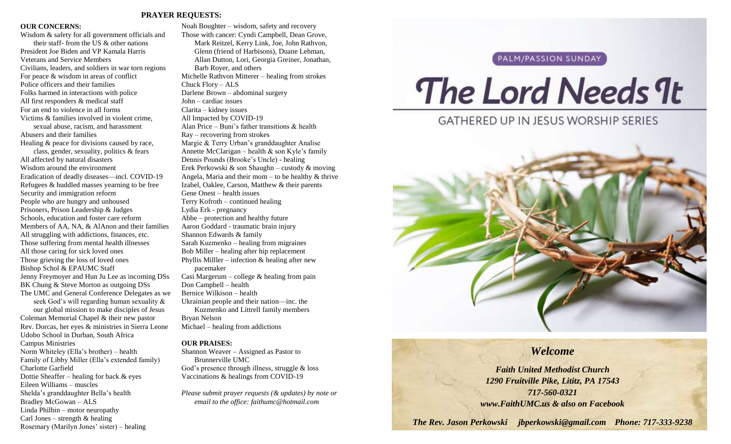#### **PRAYER REQUESTS:**

#### **OUR CONCERNS:**

Wisdom & safety for all government officials and their staff- from the US & other nations President Joe Biden and VP Kamala Harris Veterans and Service Members Civilians, leaders, and soldiers in war torn regions For peace & wisdom in areas of conflict Police officers and their families Folks harmed in interactions with police All first responders & medical staff For an end to violence in all forms Victims & families involved in violent crime, sexual abuse, racism, and harassment Abusers and their families Healing & peace for divisions caused by race, class, gender, sexuality, politics & fears All affected by natural disasters Wisdom around the environment Eradication of deadly diseases—incl. COVID-19 Refugees & huddled masses yearning to be free Security and immigration reform People who are hungry and unhoused Prisoners, Prison Leadership & Judges Schools, education and foster care reform Members of AA, NA, & AlAnon and their families All struggling with addictions, finances, etc. Those suffering from mental health illnesses All those caring for sick loved ones Those grieving the loss of loved ones Bishop Schol & EPAUMC Staff Jenny Freymoyer and Hun Ju Lee as incoming DSs BK Chung & Steve Morton as outgoing DSs The UMC and General Conference Delegates as we seek God's will regarding human sexuality & our global mission to make disciples of Jesus Coleman Memorial Chapel & their new pastor Rev. Dorcas, her eyes & ministries in Sierra Leone Udobo School in Durban, South Africa Campus Ministries Norm Whiteley (Ella's brother) – health Family of Libby Miller (Ella's extended family) Charlotte Garfield Dottie Sheaffer – healing for back & eyes Eileen Williams – muscles

Shelda's granddaughter Bella's health

Rosemary (Marilyn Jones' sister) – healing

Bradley McGowan – ALS Linda Philbin – motor neuropathy Carl Jones – strength  $&$  healing

Noah Boughter – wisdom, safety and recovery Those with cancer: Cyndi Campbell, Dean Grove, Mark Reitzel, Kerry Link, Joe, John Rathvon, Glenn (friend of Harbisons), Duane Lehman, Allan Dutton, Lori, Georgia Greiner, Jonathan, Barb Royer, and others Michelle Rathvon Mitterer – healing from strokes Chuck Flory – ALS Darlene Brown – abdominal surgery John – cardiac issues Clarita – kidney issues All Impacted by COVID-19 Alan Price – Buni's father transitions & health Ray – recovering from strokes Margie & Terry Urban's granddaughter Analise Annette McClarigan – health & son Kyle's family Dennis Pounds (Brooke's Uncle) - healing Erek Perkowski & son Shaughn – custody & moving Angela, Maria and their mom – to be healthy  $\&$  thrive Izabel, Oaklee, Carson, Matthew & their parents Gene Onest – health issues Terry Kofroth – continued healing Lydia Erk - pregnancy Abbe – protection and healthy future Aaron Goddard - traumatic brain injury Shannon Edwards & family Sarah Kuzmenko – healing from migraines Bob Miller – healing after hip replacement Phyllis Miller – infection  $\&$  healing after new pacemaker Casi Margerum – college & healing from pain Don Campbell – health Bernice Wilkison – health Ukrainian people and their nation—inc. the Kuzmenko and Littrell family members Bryan Nelson Michael – healing from addictions

#### **OUR PRAISES:**

Shannon Weaver – Assigned as Pastor to Brunnerville UMC God's presence through illness, struggle & loss Vaccinations & healings from COVID-19

*Please submit prayer requests (& updates) by note or email to the office: faithumc@hotmail.com*

#### PALM/PASSION SUNDAY

# The Lord Needs 9t

**GATHERED UP IN JESUS WORSHIP SERIES** 



#### *Welcome*

*Faith United Methodist Church 1290 Fruitville Pike, Lititz, PA 17543 717-560-0321 www.FaithUMC.us & also on Facebook*

*The Rev. Jason Perkowski jbperkowski@gmail.com Phone: 717-333-9238*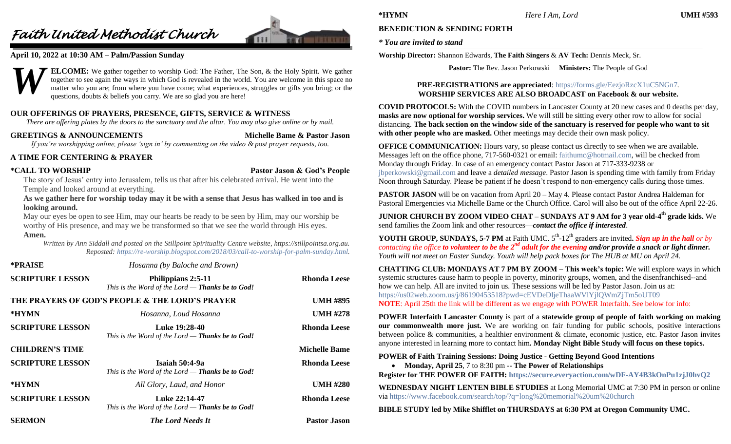## *Faith United Methodist Church*



#### **April 10, 2022 at 10:30 AM – Palm/Passion Sunday**



**ELCOME:** We gather together to worship God: The Father, The Son, & the Holy Spirit. We gather together to see again the ways in which God is revealed in the world. You are welcome in this space no matter who you are; from where you have come; what experiences, struggles or gifts you bring; or the questions, doubts & beliefs you carry. We are so glad you are here!

#### **OUR OFFERINGS OF PRAYERS, PRESENCE, GIFTS, SERVICE & WITNESS**

*There are offering plates by the doors to the sanctuary and the altar. You may also give online or by mail.*

#### **GREETINGS & ANNOUNCEMENTS Michelle Bame & Pastor Jason**

*If you're worshipping online, please 'sign in' by commenting on the video & post prayer requests, too.*

#### **A TIME FOR CENTERING & PRAYER**

**\*CALL TO WORSHIP Pastor Jason & God's People**

The story of Jesus' entry into Jerusalem, tells us that after his celebrated arrival. He went into the Temple and looked around at everything.

**As we gather here for worship today may it be with a sense that Jesus has walked in too and is looking around.**

May our eyes be open to see Him, may our hearts be ready to be seen by Him, may our worship be worthy of His presence, and may we be transformed so that we see the world through His eyes. **Amen.**

*Written by Ann Siddall and posted on the Stillpoint Spirituality Centre website, https://stillpointsa.org.au. Reposted: [https://re-worship.blogspot.com/2018/03/call-to-worship-for-palm-sunday.html.](https://re-worship.blogspot.com/2018/03/call-to-worship-for-palm-sunday.html)*

| *PRAISE                 | Hosanna (by Baloche and Brown)                                         |                      |
|-------------------------|------------------------------------------------------------------------|----------------------|
| <b>SCRIPTURE LESSON</b> | Philippians 2:5-11<br>This is the Word of the Lord - Thanks be to God! | <b>Rhonda Leese</b>  |
|                         | THE PRAYERS OF GOD'S PEOPLE & THE LORD'S PRAYER                        | <b>UMH #895</b>      |
| *HYMN                   | Hosanna, Loud Hosanna                                                  | <b>UMH #278</b>      |
| <b>SCRIPTURE LESSON</b> | Luke 19:28-40<br>This is the Word of the Lord $-$ Thanks be to God!    | <b>Rhonda Leese</b>  |
| <b>CHILDREN'S TIME</b>  |                                                                        | <b>Michelle Bame</b> |
| <b>SCRIPTURE LESSON</b> | Isaiah 50:4-9a<br>This is the Word of the Lord $-$ Thanks be to God!   | <b>Rhonda Leese</b>  |
| *HYMN                   | All Glory, Laud, and Honor                                             | <b>UMH #280</b>      |
| <b>SCRIPTURE LESSON</b> | Luke 22:14-47<br>This is the Word of the Lord $-$ Thanks be to God!    | <b>Rhonda Leese</b>  |
| <b>SERMON</b>           | <b>The Lord Needs It</b>                                               | <b>Pastor Jason</b>  |

### **BENEDICTION & SENDING FORTH**

#### *\* You are invited to stand*

**Worship Director:** Shannon Edwards, **The Faith Singers** & **AV Tech:** Dennis Meck, Sr.

**Pastor:** The Rev. Jason Perkowski **Ministers:** The People of God

#### **PRE-REGISTRATIONS are appreciated**:<https://forms.gle/EezjoRzcX1uC5NGn7>*.* **WORSHIP SERVICES ARE ALSO BROADCAST on Facebook & our website.**

**COVID PROTOCOLS:** With the COVID numbers in Lancaster County at 20 new cases and 0 deaths per day, **masks are now optional for worship services.** We will still be sitting every other row to allow for social distancing. **The back section on the window side of the sanctuary is reserved for people who want to sit**  with other people who are masked. Other meetings may decide their own mask policy.

**OFFICE COMMUNICATION:** Hours vary, so please contact us directly to see when we are available. Messages left on the office phone, 717-560-0321 or email: [faithumc@hotmail.com,](mailto:faithumc@hotmail.com) will be checked from Monday through Friday. In case of an emergency contact Pastor Jason at 717-333-9238 or [jbperkowski@gmail.com](mailto:jbperkowski@gmail.com) and leave a *detailed message*. Pastor Jason is spending time with family from Friday Noon through Saturday. Please be patient if he doesn't respond to non-emergency calls during those times.

**PASTOR JASON** will be on vacation from April 20 – May 4. Please contact Pastor Andrea Haldeman for Pastoral Emergencies via Michelle Bame or the Church Office. Carol will also be out of the office April 22-26.

**JUNIOR CHURCH BY ZOOM VIDEO CHAT – SUNDAYS AT 9 AM for 3 year old-4 th grade kids.** We send families the Zoom link and other resources—*contact the office if interested*.

**YOUTH GROUP, SUNDAYS, 5-7 PM** at Faith UMC.  $5<sup>th</sup>$ -12<sup>th</sup> graders are invited. Sign up in the hall or by *contacting the office to volunteer to be the 2nd adult for the evening and/or provide a snack or light dinner. Youth will not meet on Easter Sunday. Youth will help pack boxes for The HUB at MU on April 24.*

**CHATTING CLUB: MONDAYS AT 7 PM BY ZOOM – This week's topic:** We will explore ways in which systemic structures cause harm to people in poverty, minority groups, women, and the disenfranchised--and how we can help. All are invited to join us. These sessions will be led by Pastor Jason. Join us at: <https://us02web.zoom.us/j/86190453518?pwd=cEVDeDljeThaaWVlYjlQWmZjTm5oUT09> **NOTE**: April 25th the link will be different as we engage with POWER Interfaith. See below for info:

**POWER Interfaith Lancaster County** is part of a **statewide group of people of faith working on making our commonwealth more just.** We are working on fair funding for public schools, positive interactions between police & communities, a healthier environment & climate, economic justice, etc. Pastor Jason invites anyone interested in learning more to contact him**. Monday Night Bible Study will focus on these topics.**

#### **POWER of Faith Training Sessions: Doing Justice - Getting Beyond Good Intentions**

**Monday, April 25**, 7 to 8:30 pm -- **The Power of Relationships**

**Register for THE POWER OF FAITH[: https://secure.everyaction.com/wDF-AY4B3kOnPu1zjJ0hvQ2](https://secure.everyaction.com/wDF-AY4B3kOnPu1zjJ0hvQ2)**

**WEDNESDAY NIGHT LENTEN BIBLE STUDIES** at Long Memorial UMC at 7:30 PM in person or online via<https://www.facebook.com/search/top/?q=long%20memorial%20um%20church>

**BIBLE STUDY led by Mike Shifflet on THURSDAYS at 6:30 PM at Oregon Community UMC.**